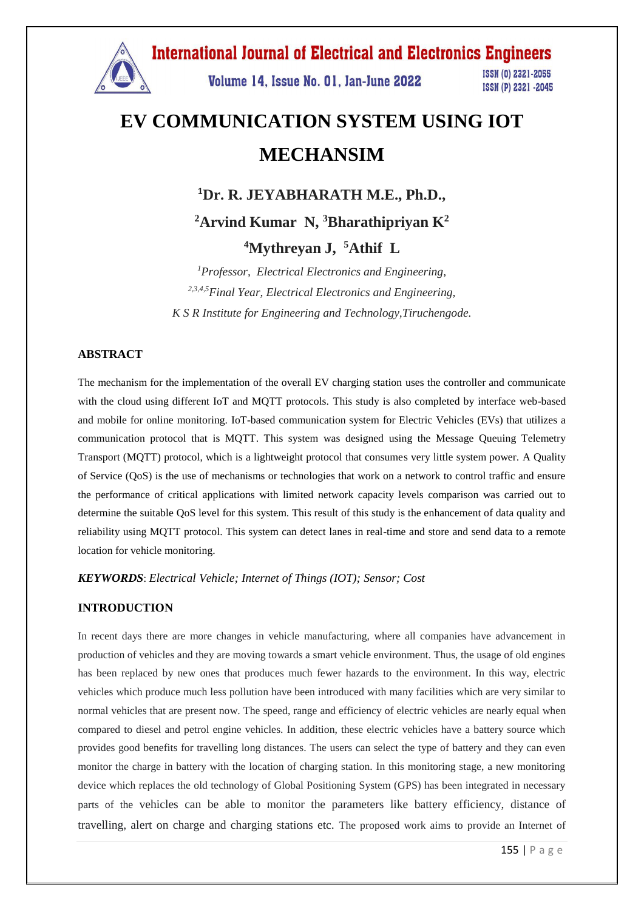

# **EV COMMUNICATION SYSTEM USING IOT MECHANSIM**

**<sup>1</sup>Dr. R. JEYABHARATH M.E., Ph.D.,**

**<sup>2</sup>Arvind Kumar N, <sup>3</sup>Bharathipriyan K<sup>2</sup>**

**<sup>4</sup>Mythreyan J, <sup>5</sup>Athif L**

*<sup>1</sup>Professor, Electrical Electronics and Engineering, 2,3,4,5Final Year, Electrical Electronics and Engineering, K S R Institute for Engineering and Technology,Tiruchengode.*

#### **ABSTRACT**

The mechanism for the implementation of the overall EV charging station uses the controller and communicate with the cloud using different IoT and MQTT protocols. This study is also completed by interface web-based and mobile for online monitoring. IoT-based communication system for Electric Vehicles (EVs) that utilizes a communication protocol that is MQTT. This system was designed using the Message Queuing Telemetry Transport (MQTT) protocol, which is a lightweight protocol that consumes very little system power. A Quality of Service (QoS) is the use of mechanisms or technologies that work on a network to control traffic and ensure the performance of critical applications with limited network capacity levels comparison was carried out to determine the suitable QoS level for this system. This result of this study is the enhancement of data quality and reliability using MQTT protocol. This system can detect lanes in real-time and store and send data to a remote location for vehicle monitoring.

*KEYWORDS*: *Electrical Vehicle; Internet of Things (IOT); Sensor; Cost*

#### **INTRODUCTION**

In recent days there are more changes in vehicle manufacturing, where all companies have advancement in production of vehicles and they are moving towards a smart vehicle environment. Thus, the usage of old engines has been replaced by new ones that produces much fewer hazards to the environment. In this way, electric vehicles which produce much less pollution have been introduced with many facilities which are very similar to normal vehicles that are present now. The speed, range and efficiency of electric vehicles are nearly equal when compared to diesel and petrol engine vehicles. In addition, these electric vehicles have a battery source which provides good benefits for travelling long distances. The users can select the type of battery and they can even monitor the charge in battery with the location of charging station. In this monitoring stage, a new monitoring device which replaces the old technology of Global Positioning System (GPS) has been integrated in necessary parts of the vehicles can be able to monitor the parameters like battery efficiency, distance of travelling, alert on charge and charging stations etc. The proposed work aims to provide an Internet of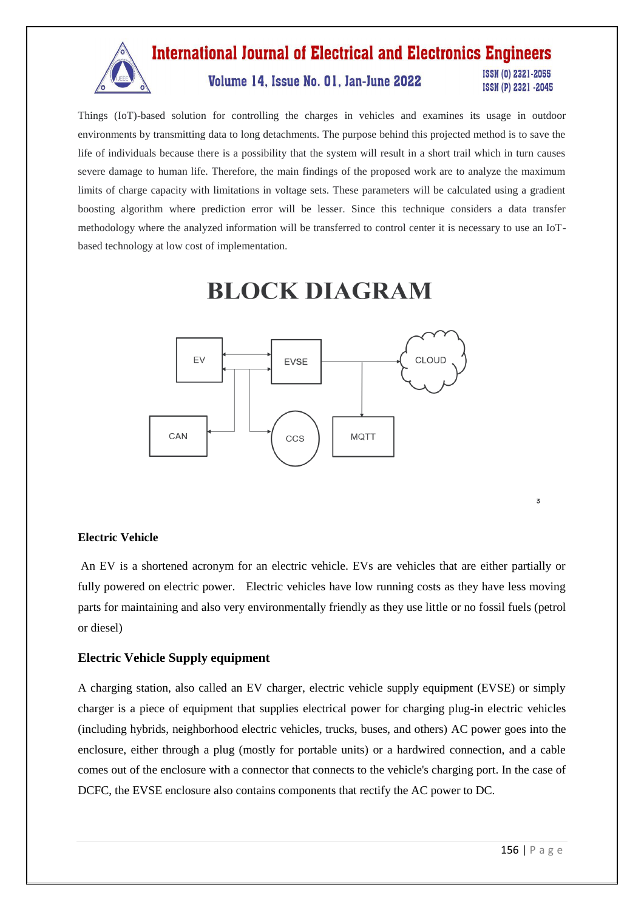

Things (IoT)-based solution for controlling the charges in vehicles and examines its usage in outdoor environments by transmitting data to long detachments. The purpose behind this projected method is to save the life of individuals because there is a possibility that the system will result in a short trail which in turn causes severe damage to human life. Therefore, the main findings of the proposed work are to analyze the maximum limits of charge capacity with limitations in voltage sets. These parameters will be calculated using a gradient boosting algorithm where prediction error will be lesser. Since this technique considers a data transfer methodology where the analyzed information will be transferred to control center it is necessary to use an IoTbased technology at low cost of implementation.

# **BLOCK DIAGRAM**



**Electric Vehicle** 

An EV is a shortened acronym for an electric vehicle. EVs are vehicles that are either partially or fully powered on electric power. Electric vehicles have low running costs as they have less moving parts for maintaining and also very environmentally friendly as they use little or no fossil fuels (petrol or diesel)

### **Electric Vehicle Supply equipment**

A charging station, also called an EV charger, electric vehicle supply equipment (EVSE) or simply charger is a piece of equipment that supplies electrical power for charging plug-in electric vehicles (including hybrids, neighborhood electric vehicles, trucks, buses, and others) AC power goes into the enclosure, either through a plug (mostly for portable units) or a hardwired connection, and a cable comes out of the enclosure with a connector that connects to the vehicle's charging port. In the case of DCFC, the EVSE enclosure also contains components that rectify the AC power to DC.

 $\overline{3}$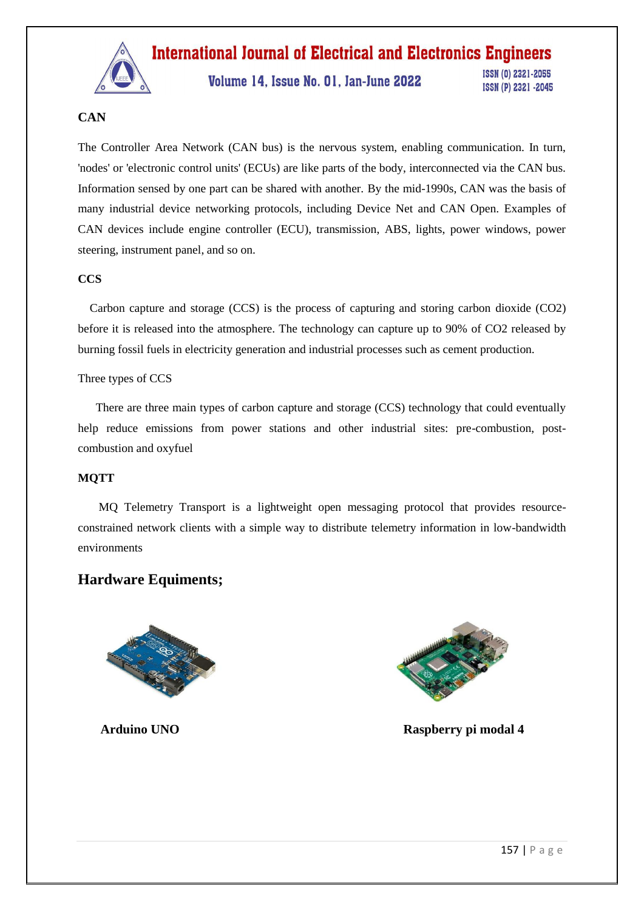

Volume 14, Issue No. 01, Jan-June 2022

ISSN (0) 2321-2055 ISSN (P) 2321 -2045

## **CAN**

The Controller Area Network (CAN bus) is the nervous system, enabling communication. In turn, 'nodes' or 'electronic control units' (ECUs) are like parts of the body, interconnected via the CAN bus. Information sensed by one part can be shared with another. By the mid-1990s, CAN was the basis of many industrial device networking protocols, including Device Net and CAN Open. Examples of CAN devices include engine controller (ECU), transmission, ABS, lights, power windows, power steering, instrument panel, and so on.

## **CCS**

 Carbon capture and storage (CCS) is the process of capturing and storing carbon dioxide (CO2) before it is released into the atmosphere. The technology can capture up to 90% of CO2 released by burning fossil fuels in electricity generation and industrial processes such as cement production.

### Three types of CCS

 There are three main types of carbon capture and storage (CCS) technology that could eventually help reduce emissions from power stations and other industrial sites: pre-combustion, postcombustion and oxyfuel

### **MQTT**

 MQ Telemetry Transport is a lightweight open messaging protocol that provides resourceconstrained network clients with a simple way to distribute telemetry information in low-bandwidth environments

# **Hardware Equiments;**





 **Arduino UNO Raspberry pi modal 4**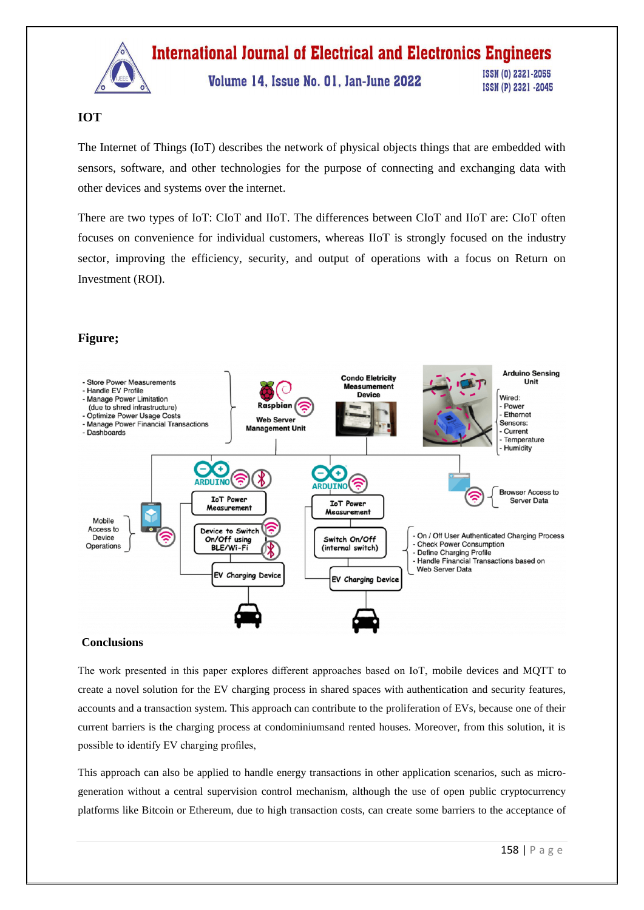

Volume 14, Issue No. 01, Jan-June 2022

ISSN (0) 2321-2055 ISSN (P) 2321 -2045

## **IOT**

The Internet of Things (IoT) describes the network of physical objects things that are embedded with sensors, software, and other technologies for the purpose of connecting and exchanging data with other devices and systems over the internet.

There are two types of IoT: CIoT and IIoT. The differences between CIoT and IIoT are: CIoT often focuses on convenience for individual customers, whereas IIoT is strongly focused on the industry sector, improving the efficiency, security, and output of operations with a focus on Return on Investment (ROI).

## **Figure;**



#### **Conclusions**

The work presented in this paper explores different approaches based on IoT, mobile devices and MQTT to create a novel solution for the EV charging process in shared spaces with authentication and security features, accounts and a transaction system. This approach can contribute to the proliferation of EVs, because one of their current barriers is the charging process at condominiumsand rented houses. Moreover, from this solution, it is possible to identify EV charging profiles,

This approach can also be applied to handle energy transactions in other application scenarios, such as microgeneration without a central supervision control mechanism, although the use of open public cryptocurrency platforms like Bitcoin or Ethereum, due to high transaction costs, can create some barriers to the acceptance of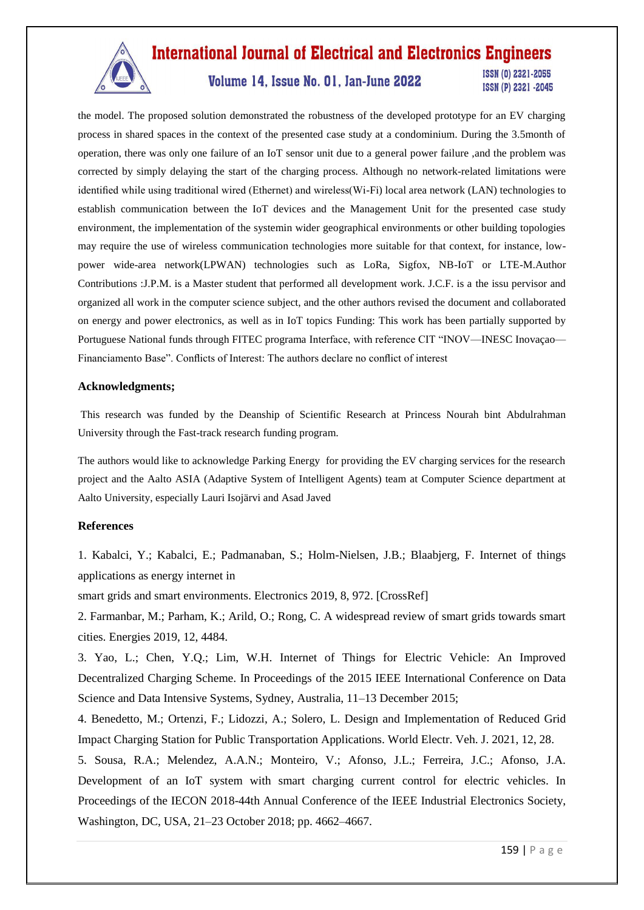

# Volume 14, Issue No. 01, Jan-June 2022

ISSN (0) 2321-2055 ISSN (P) 2321 -2045

the model. The proposed solution demonstrated the robustness of the developed prototype for an EV charging process in shared spaces in the context of the presented case study at a condominium. During the 3.5month of operation, there was only one failure of an IoT sensor unit due to a general power failure ,and the problem was corrected by simply delaying the start of the charging process. Although no network-related limitations were identified while using traditional wired (Ethernet) and wireless(Wi-Fi) local area network (LAN) technologies to establish communication between the IoT devices and the Management Unit for the presented case study environment, the implementation of the systemin wider geographical environments or other building topologies may require the use of wireless communication technologies more suitable for that context, for instance, lowpower wide-area network(LPWAN) technologies such as LoRa, Sigfox, NB-IoT or LTE-M.Author Contributions :J.P.M. is a Master student that performed all development work. J.C.F. is a the issu pervisor and organized all work in the computer science subject, and the other authors revised the document and collaborated on energy and power electronics, as well as in IoT topics Funding: This work has been partially supported by Portuguese National funds through FITEC programa Interface, with reference CIT "INOV—INESC Inovaçao— Financiamento Base". Conflicts of Interest: The authors declare no conflict of interest

#### **Acknowledgments;**

This research was funded by the Deanship of Scientific Research at Princess Nourah bint Abdulrahman University through the Fast-track research funding program.

The authors would like to acknowledge Parking Energy for providing the EV charging services for the research project and the Aalto ASIA (Adaptive System of Intelligent Agents) team at Computer Science department at Aalto University, especially Lauri Isojärvi and Asad Javed

#### **References**

1. Kabalci, Y.; Kabalci, E.; Padmanaban, S.; Holm-Nielsen, J.B.; Blaabjerg, F. Internet of things applications as energy internet in

smart grids and smart environments. Electronics 2019, 8, 972. [CrossRef]

2. Farmanbar, M.; Parham, K.; Arild, O.; Rong, C. A widespread review of smart grids towards smart cities. Energies 2019, 12, 4484.

3. Yao, L.; Chen, Y.Q.; Lim, W.H. Internet of Things for Electric Vehicle: An Improved Decentralized Charging Scheme. In Proceedings of the 2015 IEEE International Conference on Data Science and Data Intensive Systems, Sydney, Australia, 11–13 December 2015;

4. Benedetto, M.; Ortenzi, F.; Lidozzi, A.; Solero, L. Design and Implementation of Reduced Grid Impact Charging Station for Public Transportation Applications. World Electr. Veh. J. 2021, 12, 28.

5. Sousa, R.A.; Melendez, A.A.N.; Monteiro, V.; Afonso, J.L.; Ferreira, J.C.; Afonso, J.A. Development of an IoT system with smart charging current control for electric vehicles. In Proceedings of the IECON 2018-44th Annual Conference of the IEEE Industrial Electronics Society, Washington, DC, USA, 21–23 October 2018; pp. 4662–4667.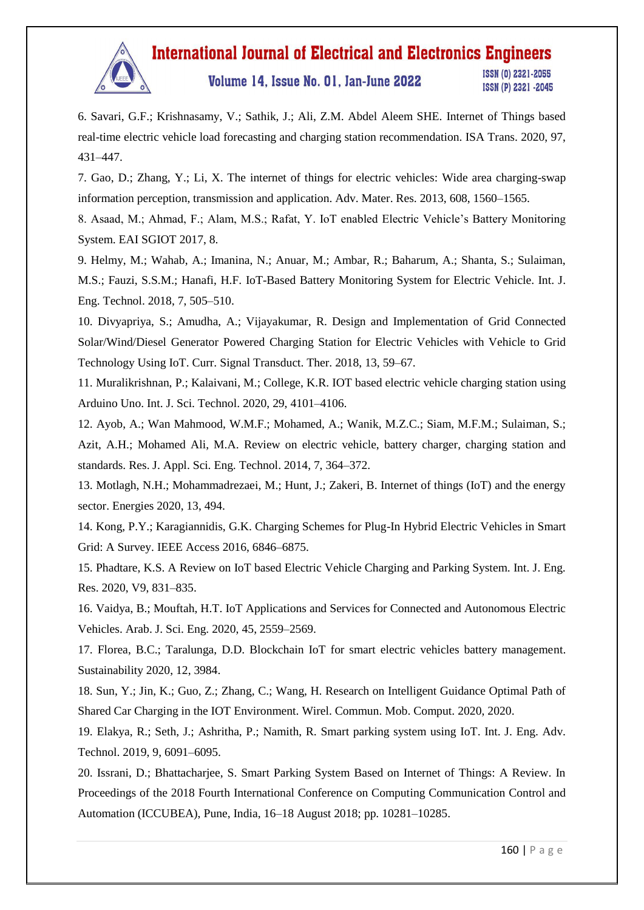

# Volume 14, Issue No. 01, Jan-June 2022

ISSN (0) 2321-2055 ISSN (P) 2321 -2045

6. Savari, G.F.; Krishnasamy, V.; Sathik, J.; Ali, Z.M. Abdel Aleem SHE. Internet of Things based real-time electric vehicle load forecasting and charging station recommendation. ISA Trans. 2020, 97, 431–447.

7. Gao, D.; Zhang, Y.; Li, X. The internet of things for electric vehicles: Wide area charging-swap information perception, transmission and application. Adv. Mater. Res. 2013, 608, 1560–1565.

8. Asaad, M.; Ahmad, F.; Alam, M.S.; Rafat, Y. IoT enabled Electric Vehicle's Battery Monitoring System. EAI SGIOT 2017, 8.

9. Helmy, M.; Wahab, A.; Imanina, N.; Anuar, M.; Ambar, R.; Baharum, A.; Shanta, S.; Sulaiman, M.S.; Fauzi, S.S.M.; Hanafi, H.F. IoT-Based Battery Monitoring System for Electric Vehicle. Int. J. Eng. Technol. 2018, 7, 505–510.

10. Divyapriya, S.; Amudha, A.; Vijayakumar, R. Design and Implementation of Grid Connected Solar/Wind/Diesel Generator Powered Charging Station for Electric Vehicles with Vehicle to Grid Technology Using IoT. Curr. Signal Transduct. Ther. 2018, 13, 59–67.

11. Muralikrishnan, P.; Kalaivani, M.; College, K.R. IOT based electric vehicle charging station using Arduino Uno. Int. J. Sci. Technol. 2020, 29, 4101–4106.

12. Ayob, A.; Wan Mahmood, W.M.F.; Mohamed, A.; Wanik, M.Z.C.; Siam, M.F.M.; Sulaiman, S.; Azit, A.H.; Mohamed Ali, M.A. Review on electric vehicle, battery charger, charging station and standards. Res. J. Appl. Sci. Eng. Technol. 2014, 7, 364–372.

13. Motlagh, N.H.; Mohammadrezaei, M.; Hunt, J.; Zakeri, B. Internet of things (IoT) and the energy sector. Energies 2020, 13, 494.

14. Kong, P.Y.; Karagiannidis, G.K. Charging Schemes for Plug-In Hybrid Electric Vehicles in Smart Grid: A Survey. IEEE Access 2016, 6846–6875.

15. Phadtare, K.S. A Review on IoT based Electric Vehicle Charging and Parking System. Int. J. Eng. Res. 2020, V9, 831–835.

16. Vaidya, B.; Mouftah, H.T. IoT Applications and Services for Connected and Autonomous Electric Vehicles. Arab. J. Sci. Eng. 2020, 45, 2559–2569.

17. Florea, B.C.; Taralunga, D.D. Blockchain IoT for smart electric vehicles battery management. Sustainability 2020, 12, 3984.

18. Sun, Y.; Jin, K.; Guo, Z.; Zhang, C.; Wang, H. Research on Intelligent Guidance Optimal Path of Shared Car Charging in the IOT Environment. Wirel. Commun. Mob. Comput. 2020, 2020.

19. Elakya, R.; Seth, J.; Ashritha, P.; Namith, R. Smart parking system using IoT. Int. J. Eng. Adv. Technol. 2019, 9, 6091–6095.

20. Issrani, D.; Bhattacharjee, S. Smart Parking System Based on Internet of Things: A Review. In Proceedings of the 2018 Fourth International Conference on Computing Communication Control and Automation (ICCUBEA), Pune, India, 16–18 August 2018; pp. 10281–10285.